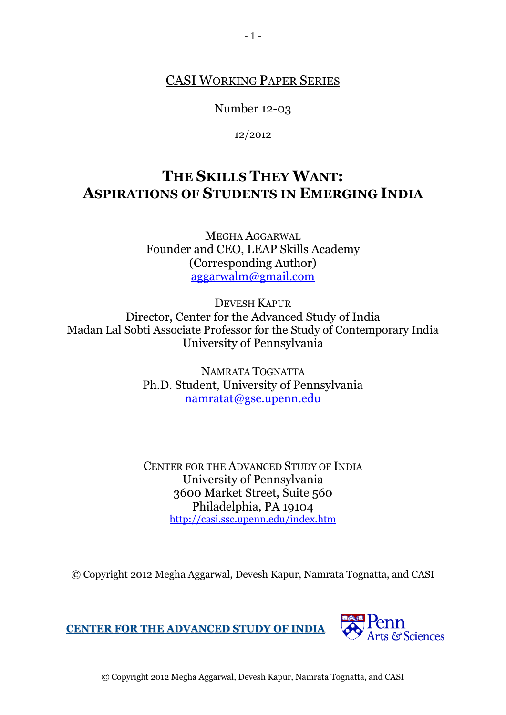## CASI WORKING PAPER SERIES

Number 12-03

12/2012

# **THE SKILLS THEY WANT: ASPIRATIONS OF STUDENTS IN EMERGING INDIA**

MEGHA AGGARWAL Founder and CEO, LEAP Skills Academy (Corresponding Author) [aggarwalm@gmail.com](mailto:aggarwalm@gmail.com)

DEVESH KAPUR Director, Center for the Advanced Study of India Madan Lal Sobti Associate Professor for the Study of Contemporary India University of Pennsylvania

> NAMRATA TOGNATTA Ph.D. Student, University of Pennsylvania [namratat@gse.upenn.edu](mailto:namratat@gse.upenn.edu)

> CENTER FOR THE ADVANCED STUDY OF INDIA University of Pennsylvania 3600 Market Street, Suite 560 Philadelphia, PA 19104 <http://casi.ssc.upenn.edu/index.htm>

© Copyright 2012 Megha Aggarwal, Devesh Kapur, Namrata Tognatta, and CASI

**CENTER FOR THE ADVANCED STUDY OF INDIA**



© Copyright 2012 Megha Aggarwal, Devesh Kapur, Namrata Tognatta, and CASI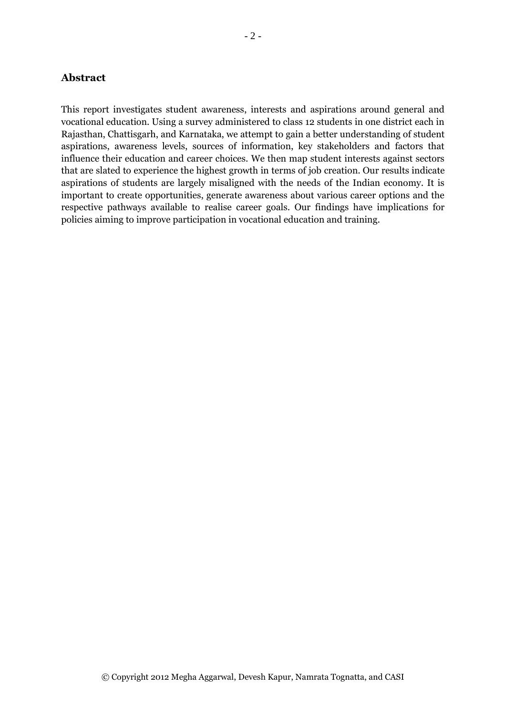## **Abstract**

This report investigates student awareness, interests and aspirations around general and vocational education. Using a survey administered to class 12 students in one district each in Rajasthan, Chattisgarh, and Karnataka, we attempt to gain a better understanding of student aspirations, awareness levels, sources of information, key stakeholders and factors that influence their education and career choices. We then map student interests against sectors that are slated to experience the highest growth in terms of job creation. Our results indicate aspirations of students are largely misaligned with the needs of the Indian economy. It is important to create opportunities, generate awareness about various career options and the respective pathways available to realise career goals. Our findings have implications for policies aiming to improve participation in vocational education and training.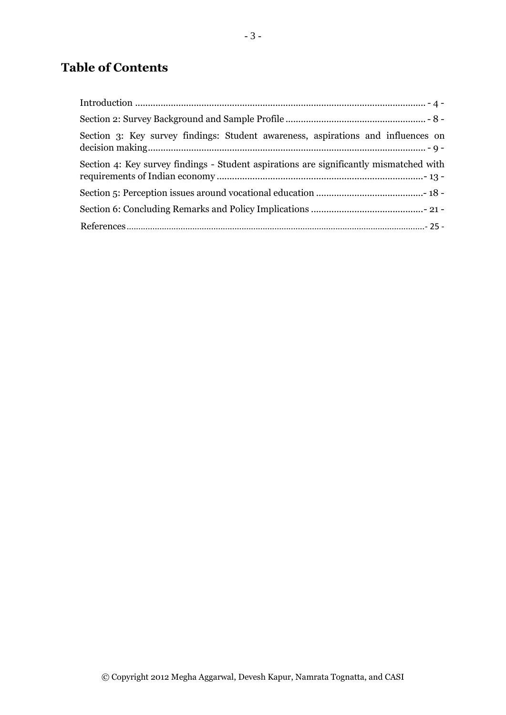# **Table of Contents**

| Section 3: Key survey findings: Student awareness, aspirations and influences on       |
|----------------------------------------------------------------------------------------|
| Section 4: Key survey findings - Student aspirations are significantly mismatched with |
|                                                                                        |
|                                                                                        |
|                                                                                        |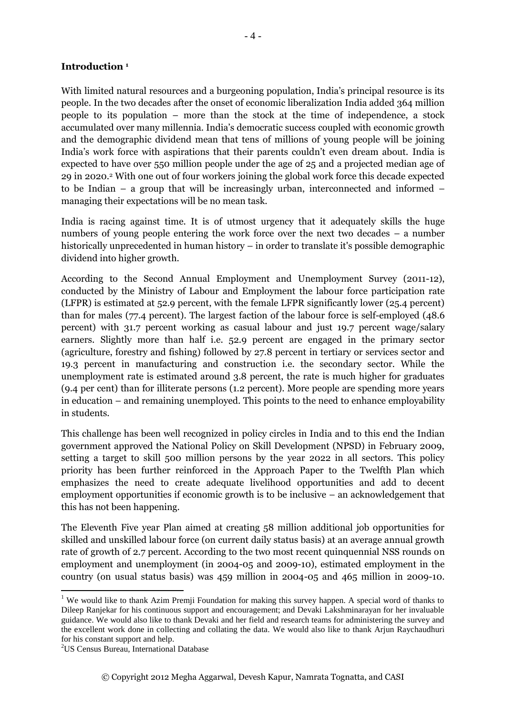#### <span id="page-3-0"></span>**Introduction <sup>1</sup>**

With limited natural resources and a burgeoning population, India's principal resource is its people. In the two decades after the onset of economic liberalization India added 364 million people to its population – more than the stock at the time of independence, a stock accumulated over many millennia. India's democratic success coupled with economic growth and the demographic dividend mean that tens of millions of young people will be joining India's work force with aspirations that their parents couldn't even dream about. India is expected to have over 550 million people under the age of 25 and a projected median age of 29 in 2020.<sup>2</sup> With one out of four workers joining the global work force this decade expected to be Indian – a group that will be increasingly urban, interconnected and informed – managing their expectations will be no mean task.

India is racing against time. It is of utmost urgency that it adequately skills the huge numbers of young people entering the work force over the next two decades – a number historically unprecedented in human history – in order to translate it's possible demographic dividend into higher growth.

According to the Second Annual Employment and Unemployment Survey (2011-12), conducted by the Ministry of Labour and Employment the labour force participation rate (LFPR) is estimated at 52.9 percent, with the female LFPR significantly lower (25.4 percent) than for males (77.4 percent). The largest faction of the labour force is self-employed (48.6 percent) with 31.7 percent working as casual labour and just 19.7 percent wage/salary earners. Slightly more than half i.e. 52.9 percent are engaged in the primary sector (agriculture, forestry and fishing) followed by 27.8 percent in tertiary or services sector and 19.3 percent in manufacturing and construction i.e. the secondary sector. While the unemployment rate is estimated around 3.8 percent, the rate is much higher for graduates (9.4 per cent) than for illiterate persons (1.2 percent). More people are spending more years in education – and remaining unemployed. This points to the need to enhance employability in students.

This challenge has been well recognized in policy circles in India and to this end the Indian government approved the National Policy on Skill Development (NPSD) in February 2009, setting a target to skill 500 million persons by the year 2022 in all sectors. This policy priority has been further reinforced in the Approach Paper to the Twelfth Plan which emphasizes the need to create adequate livelihood opportunities and add to decent employment opportunities if economic growth is to be inclusive – an acknowledgement that this has not been happening.

The Eleventh Five year Plan aimed at creating 58 million additional job opportunities for skilled and unskilled labour force (on current daily status basis) at an average annual growth rate of growth of 2.7 percent. According to the two most recent quinquennial NSS rounds on employment and unemployment (in 2004-05 and 2009-10), estimated employment in the country (on usual status basis) was 459 million in 2004-05 and 465 million in 2009-10.

1

<sup>&</sup>lt;sup>1</sup> We would like to thank Azim Premji Foundation for making this survey happen. A special word of thanks to Dileep Ranjekar for his continuous support and encouragement; and Devaki Lakshminarayan for her invaluable guidance. We would also like to thank Devaki and her field and research teams for administering the survey and the excellent work done in collecting and collating the data. We would also like to thank Arjun Raychaudhuri for his constant support and help.

<sup>&</sup>lt;sup>2</sup>US Census Bureau, International Database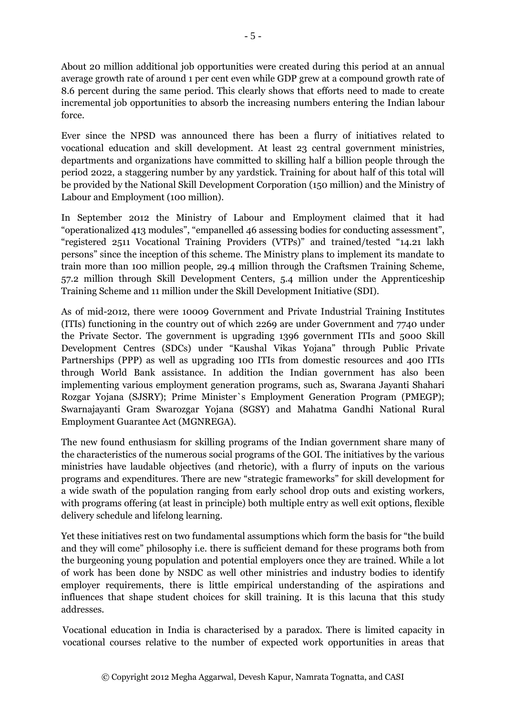About 20 million additional job opportunities were created during this period at an annual average growth rate of around 1 per cent even while GDP grew at a compound growth rate of 8.6 percent during the same period. This clearly shows that efforts need to made to create incremental job opportunities to absorb the increasing numbers entering the Indian labour force.

Ever since the NPSD was announced there has been a flurry of initiatives related to vocational education and skill development. At least 23 central government ministries, departments and organizations have committed to skilling half a billion people through the period 2022, a staggering number by any yardstick. Training for about half of this total will be provided by the National Skill Development Corporation (150 million) and the Ministry of Labour and Employment (100 million).

In September 2012 the Ministry of Labour and Employment claimed that it had "operationalized 413 modules", "empanelled 46 assessing bodies for conducting assessment", "registered 2511 Vocational Training Providers (VTPs)" and trained/tested "14.21 lakh persons" since the inception of this scheme. The Ministry plans to implement its mandate to train more than 100 million people, 29.4 million through the Craftsmen Training Scheme, 57.2 million through Skill Development Centers, 5.4 million under the Apprenticeship Training Scheme and 11 million under the Skill Development Initiative (SDI).

As of mid-2012, there were 10009 Government and Private Industrial Training Institutes (ITIs) functioning in the country out of which 2269 are under Government and 7740 under the Private Sector. The government is upgrading 1396 government ITIs and 5000 Skill Development Centres (SDCs) under "Kaushal Vikas Yojana" through Public Private Partnerships (PPP) as well as upgrading 100 ITIs from domestic resources and 400 ITIs through World Bank assistance. In addition the Indian government has also been implementing various employment generation programs, such as, Swarana Jayanti Shahari Rozgar Yojana (SJSRY); Prime Minister`s Employment Generation Program (PMEGP); Swarnajayanti Gram Swarozgar Yojana (SGSY) and Mahatma Gandhi National Rural Employment Guarantee Act (MGNREGA).

The new found enthusiasm for skilling programs of the Indian government share many of the characteristics of the numerous social programs of the GOI. The initiatives by the various ministries have laudable objectives (and rhetoric), with a flurry of inputs on the various programs and expenditures. There are new "strategic frameworks" for skill development for a wide swath of the population ranging from early school drop outs and existing workers, with programs offering (at least in principle) both multiple entry as well exit options, flexible delivery schedule and lifelong learning.

Yet these initiatives rest on two fundamental assumptions which form the basis for "the build and they will come" philosophy i.e. there is sufficient demand for these programs both from the burgeoning young population and potential employers once they are trained. While a lot of work has been done by NSDC as well other ministries and industry bodies to identify employer requirements, there is little empirical understanding of the aspirations and influences that shape student choices for skill training. It is this lacuna that this study addresses.

Vocational education in India is characterised by a paradox. There is limited capacity in vocational courses relative to the number of expected work opportunities in areas that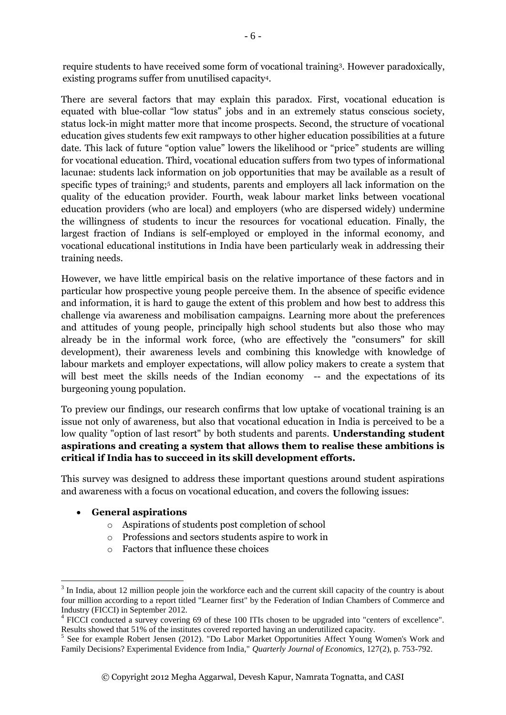require students to have received some form of vocational training<sup>3</sup> . However paradoxically, existing programs suffer from unutilised capacity<sup>4</sup> .

There are several factors that may explain this paradox. First, vocational education is equated with blue-collar "low status" jobs and in an extremely status conscious society, status lock-in might matter more that income prospects. Second, the structure of vocational education gives students few exit rampways to other higher education possibilities at a future date. This lack of future "option value" lowers the likelihood or "price" students are willing for vocational education. Third, vocational education suffers from two types of informational lacunae: students lack information on job opportunities that may be available as a result of specific types of training;<sup>5</sup> and students, parents and employers all lack information on the quality of the education provider. Fourth, weak labour market links between vocational education providers (who are local) and employers (who are dispersed widely) undermine the willingness of students to incur the resources for vocational education. Finally, the largest fraction of Indians is self-employed or employed in the informal economy, and vocational educational institutions in India have been particularly weak in addressing their training needs.

However, we have little empirical basis on the relative importance of these factors and in particular how prospective young people perceive them. In the absence of specific evidence and information, it is hard to gauge the extent of this problem and how best to address this challenge via awareness and mobilisation campaigns. Learning more about the preferences and attitudes of young people, principally high school students but also those who may already be in the informal work force, (who are effectively the "consumers" for skill development), their awareness levels and combining this knowledge with knowledge of labour markets and employer expectations, will allow policy makers to create a system that will best meet the skills needs of the Indian economy -- and the expectations of its burgeoning young population.

To preview our findings, our research confirms that low uptake of vocational training is an issue not only of awareness, but also that vocational education in India is perceived to be a low quality "option of last resort" by both students and parents. **Understanding student aspirations and creating a system that allows them to realise these ambitions is critical if India has to succeed in its skill development efforts.** 

This survey was designed to address these important questions around student aspirations and awareness with a focus on vocational education, and covers the following issues:

## **General aspirations**

**.** 

- o Aspirations of students post completion of school
- o Professions and sectors students aspire to work in
- o Factors that influence these choices

 $3$  In India, about 12 million people join the workforce each and the current skill capacity of the country is about four million according to a report titled "Learner first" by the Federation of Indian Chambers of Commerce and Industry (FICCI) in September 2012.

<sup>&</sup>lt;sup>4</sup> FICCI conducted a survey covering 69 of these 100 ITIs chosen to be upgraded into "centers of excellence". Results showed that 51% of the institutes covered reported having an underutilized capacity.

<sup>&</sup>lt;sup>5</sup> See for example Robert Jensen (2012). "Do Labor Market Opportunities Affect Young Women's Work and Family Decisions? Experimental Evidence from India," *Quarterly Journal of Economics*, 127(2), p. 753-792.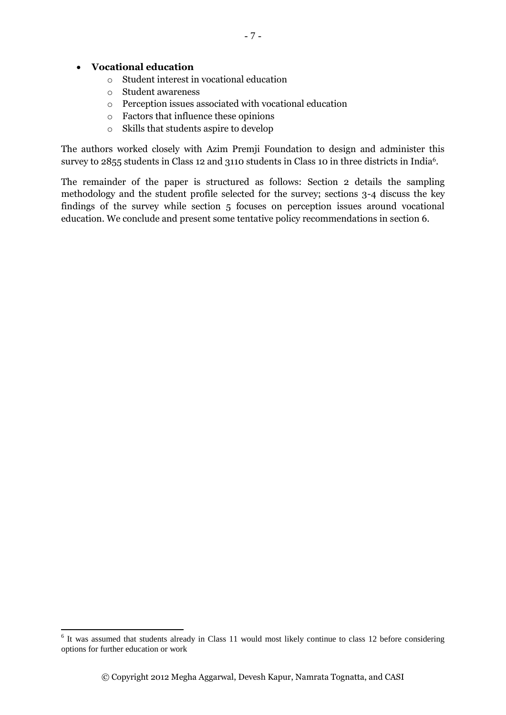#### **Vocational education**

- o Student interest in vocational education
- o Student awareness
- o Perception issues associated with vocational education
- o Factors that influence these opinions
- o Skills that students aspire to develop

The authors worked closely with Azim Premji Foundation to design and administer this survey to 2855 students in Class 12 and 3110 students in Class 10 in three districts in India<sup>6</sup>.

The remainder of the paper is structured as follows: Section 2 details the sampling methodology and the student profile selected for the survey; sections 3-4 discuss the key findings of the survey while section 5 focuses on perception issues around vocational education. We conclude and present some tentative policy recommendations in section 6.

<sup>&</sup>lt;sup>6</sup> It was assumed that students already in Class 11 would most likely continue to class 12 before considering options for further education or work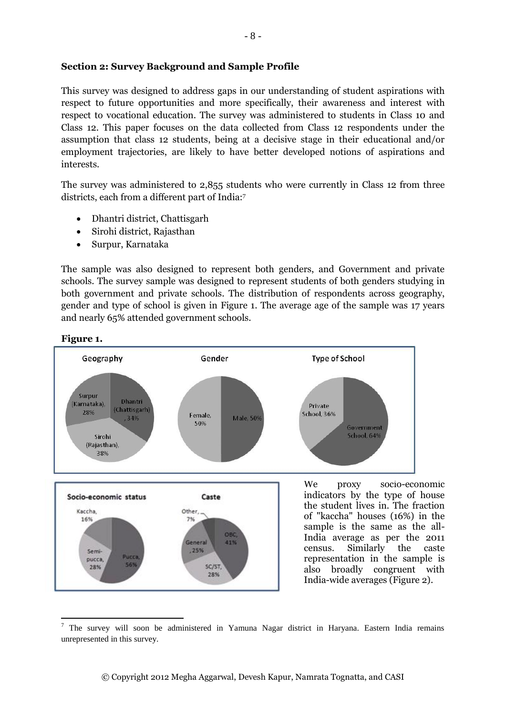#### <span id="page-7-0"></span>**Section 2: Survey Background and Sample Profile**

This survey was designed to address gaps in our understanding of student aspirations with respect to future opportunities and more specifically, their awareness and interest with respect to vocational education. The survey was administered to students in Class 10 and Class 12. This paper focuses on the data collected from Class 12 respondents under the assumption that class 12 students, being at a decisive stage in their educational and/or employment trajectories, are likely to have better developed notions of aspirations and interests.

The survey was administered to 2,855 students who were currently in Class 12 from three districts, each from a different part of India:<sup>7</sup>

- Dhantri district, Chattisgarh
- Sirohi district, Rajasthan
- Surpur, Karnataka

The sample was also designed to represent both genders, and Government and private schools. The survey sample was designed to represent students of both genders studying in both government and private schools. The distribution of respondents across geography, gender and type of school is given in Figure 1. The average age of the sample was 17 years and nearly 65% attended government schools.



## **Figure 1.**

**.** 

<sup>&</sup>lt;sup>7</sup> The survey will soon be administered in Yamuna Nagar district in Haryana. Eastern India remains unrepresented in this survey.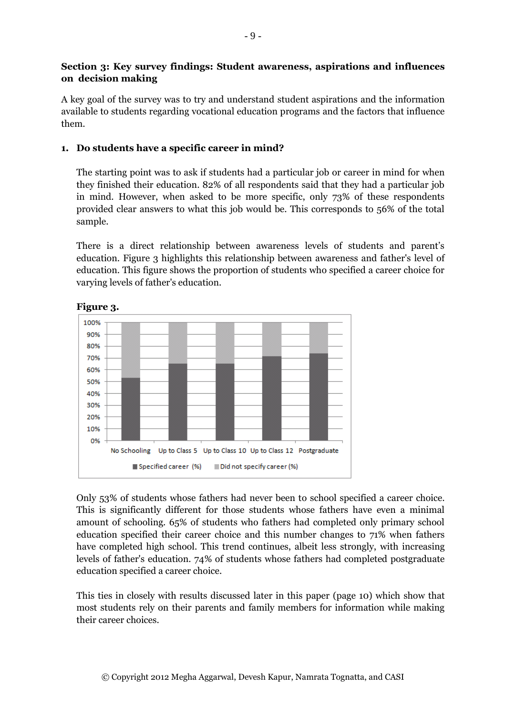## <span id="page-8-0"></span>**Section 3: Key survey findings: Student awareness, aspirations and influences on decision making**

A key goal of the survey was to try and understand student aspirations and the information available to students regarding vocational education programs and the factors that influence them.

## **1. Do students have a specific career in mind?**

The starting point was to ask if students had a particular job or career in mind for when they finished their education. 82% of all respondents said that they had a particular job in mind. However, when asked to be more specific, only 73% of these respondents provided clear answers to what this job would be. This corresponds to 56% of the total sample.

There is a direct relationship between awareness levels of students and parent's education. Figure 3 highlights this relationship between awareness and father's level of education. This figure shows the proportion of students who specified a career choice for varying levels of father's education.



## **Figure 3.**

Only 53% of students whose fathers had never been to school specified a career choice. This is significantly different for those students whose fathers have even a minimal amount of schooling. 65% of students who fathers had completed only primary school education specified their career choice and this number changes to 71% when fathers have completed high school. This trend continues, albeit less strongly, with increasing levels of father's education. 74% of students whose fathers had completed postgraduate education specified a career choice.

This ties in closely with results discussed later in this paper (page 10) which show that most students rely on their parents and family members for information while making their career choices.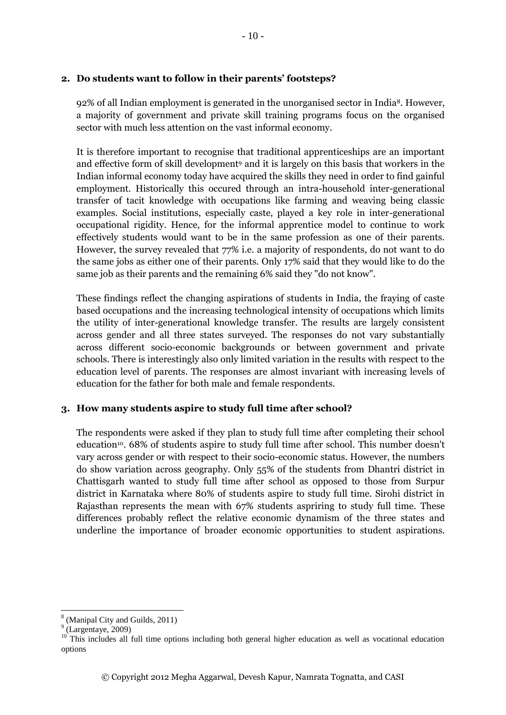#### **2. Do students want to follow in their parents' footsteps?**

92% of all Indian employment is generated in the unorganised sector in India8. However, a majority of government and private skill training programs focus on the organised sector with much less attention on the vast informal economy.

It is therefore important to recognise that traditional apprenticeships are an important and effective form of skill development<sup>9</sup> and it is largely on this basis that workers in the Indian informal economy today have acquired the skills they need in order to find gainful employment. Historically this occured through an intra-household inter-generational transfer of tacit knowledge with occupations like farming and weaving being classic examples. Social institutions, especially caste, played a key role in inter-generational occupational rigidity. Hence, for the informal apprentice model to continue to work effectively students would want to be in the same profession as one of their parents. However, the survey revealed that 77% i.e. a majority of respondents, do not want to do the same jobs as either one of their parents. Only 17% said that they would like to do the same job as their parents and the remaining 6% said they "do not know".

These findings reflect the changing aspirations of students in India, the fraying of caste based occupations and the increasing technological intensity of occupations which limits the utility of inter-generational knowledge transfer. The results are largely consistent across gender and all three states surveyed. The responses do not vary substantially across different socio-economic backgrounds or between government and private schools. There is interestingly also only limited variation in the results with respect to the education level of parents. The responses are almost invariant with increasing levels of education for the father for both male and female respondents.

#### **3. How many students aspire to study full time after school?**

The respondents were asked if they plan to study full time after completing their school education<sup>10</sup>. 68% of students aspire to study full time after school. This number doesn't vary across gender or with respect to their socio-economic status. However, the numbers do show variation across geography. Only 55% of the students from Dhantri district in Chattisgarh wanted to study full time after school as opposed to those from Surpur district in Karnataka where 80% of students aspire to study full time. Sirohi district in Rajasthan represents the mean with 67% students aspriring to study full time. These differences probably reflect the relative economic dynamism of the three states and underline the importance of broader economic opportunities to student aspirations.

**.** 

<sup>&</sup>lt;sup>8</sup> (Manipal City and Guilds, 2011)

 $<sup>9</sup>$  (Largentaye, 2009)</sup>

<sup>&</sup>lt;sup>10</sup> This includes all full time options including both general higher education as well as vocational education options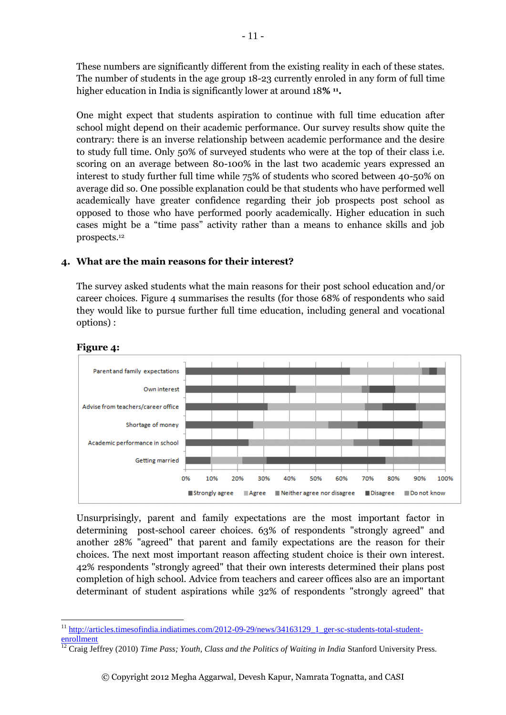These numbers are significantly different from the existing reality in each of these states. The number of students in the age group 18-23 currently enroled in any form of full time higher education in India is significantly lower at around 18**% <sup>11</sup> .**

One might expect that students aspiration to continue with full time education after school might depend on their academic performance. Our survey results show quite the contrary: there is an inverse relationship between academic performance and the desire to study full time. Only 50% of surveyed students who were at the top of their class i.e. scoring on an average between 80-100% in the last two academic years expressed an interest to study further full time while 75% of students who scored between 40-50% on average did so. One possible explanation could be that students who have performed well academically have greater confidence regarding their job prospects post school as opposed to those who have performed poorly academically. Higher education in such cases might be a "time pass" activity rather than a means to enhance skills and job prospects.<sup>12</sup>

## **4. What are the main reasons for their interest?**

The survey asked students what the main reasons for their post school education and/or career choices. Figure 4 summarises the results (for those 68% of respondents who said they would like to pursue further full time education, including general and vocational options) :



#### **Figure 4:**

Unsurprisingly, parent and family expectations are the most important factor in determining post-school career choices. 63% of respondents "strongly agreed" and another 28% "agreed" that parent and family expectations are the reason for their choices. The next most important reason affecting student choice is their own interest. 42% respondents "strongly agreed" that their own interests determined their plans post completion of high school. Advice from teachers and career offices also are an important determinant of student aspirations while 32% of respondents "strongly agreed" that

<sup>1</sup> <sup>11</sup> [http://articles.timesofindia.indiatimes.com/2012-09-29/news/34163129\\_1\\_ger-sc-students-total-student](http://articles.timesofindia.indiatimes.com/2012-09-29/news/34163129_1_ger-sc-students-total-student-enrollment)**[enrollment](http://articles.timesofindia.indiatimes.com/2012-09-29/news/34163129_1_ger-sc-students-total-student-enrollment)** 

<sup>&</sup>lt;sup>12</sup> Craig Jeffrey (2010) *Time Pass; Youth, Class and the Politics of Waiting in India Stanford University Press.*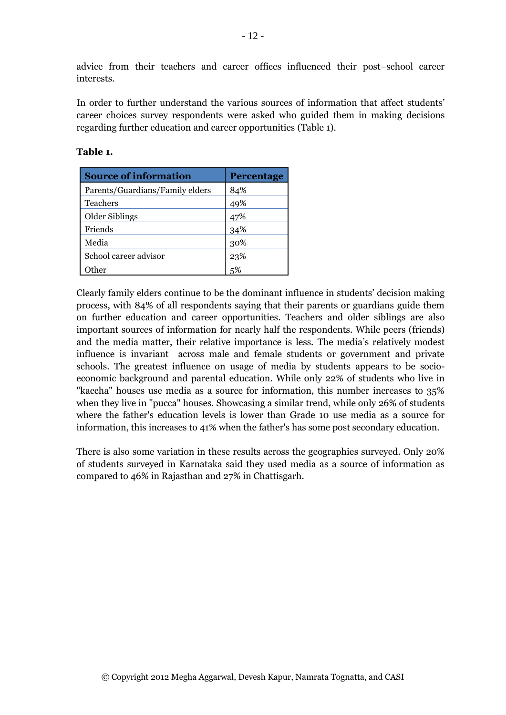advice from their teachers and career offices influenced their post–school career interests.

In order to further understand the various sources of information that affect students' career choices survey respondents were asked who guided them in making decisions regarding further education and career opportunities (Table 1).

| <b>Source of information</b>    | Percentage |
|---------------------------------|------------|
| Parents/Guardians/Family elders | 84%        |
| <b>Teachers</b>                 | 49%        |
| Older Siblings                  | 47%        |
| Friends                         | 34%        |
| Media                           | 30%        |
| School career advisor           | 23%        |
| ther                            |            |

#### **Table 1.**

Clearly family elders continue to be the dominant influence in students' decision making process, with 84% of all respondents saying that their parents or guardians guide them on further education and career opportunities. Teachers and older siblings are also important sources of information for nearly half the respondents. While peers (friends) and the media matter, their relative importance is less. The media's relatively modest influence is invariant across male and female students or government and private schools. The greatest influence on usage of media by students appears to be socioeconomic background and parental education. While only 22% of students who live in "kaccha" houses use media as a source for information, this number increases to 35% when they live in "pucca" houses. Showcasing a similar trend, while only 26% of students where the father's education levels is lower than Grade 10 use media as a source for information, this increases to 41% when the father's has some post secondary education.

There is also some variation in these results across the geographies surveyed. Only 20% of students surveyed in Karnataka said they used media as a source of information as compared to 46% in Rajasthan and 27% in Chattisgarh.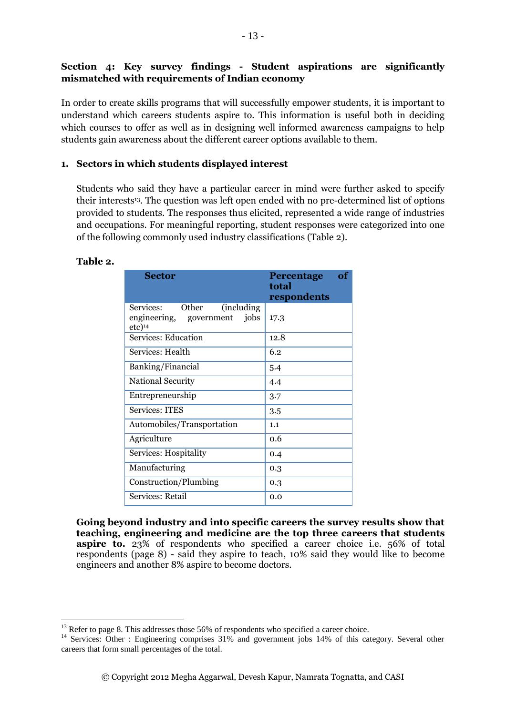## <span id="page-12-0"></span>**Section 4: Key survey findings - Student aspirations are significantly mismatched with requirements of Indian economy**

In order to create skills programs that will successfully empower students, it is important to understand which careers students aspire to. This information is useful both in deciding which courses to offer as well as in designing well informed awareness campaigns to help students gain awareness about the different career options available to them.

## **1. Sectors in which students displayed interest**

Students who said they have a particular career in mind were further asked to specify their interests<sup>13</sup>. The question was left open ended with no pre-determined list of options provided to students. The responses thus elicited, represented a wide range of industries and occupations. For meaningful reporting, student responses were categorized into one of the following commonly used industry classifications (Table 2).

#### **Table 2.**

1

| Sector                                                                                       | of<br><b>Percentage</b><br>total<br>respondents |
|----------------------------------------------------------------------------------------------|-------------------------------------------------|
| Other<br>(including)<br>Services:<br>jobs<br>engineering, government<br>$etc)$ <sup>14</sup> | 17.3                                            |
| Services: Education                                                                          | 12.8                                            |
| Services: Health                                                                             | 6.2                                             |
| Banking/Financial                                                                            | 5.4                                             |
| <b>National Security</b>                                                                     | 4.4                                             |
| Entrepreneurship                                                                             | 3.7                                             |
| <b>Services: ITES</b>                                                                        | 3.5                                             |
| Automobiles/Transportation                                                                   | 1.1                                             |
| Agriculture                                                                                  | 0.6                                             |
| Services: Hospitality                                                                        | 0.4                                             |
| Manufacturing                                                                                | 0.3                                             |
| Construction/Plumbing                                                                        | 0.3                                             |
| Services: Retail                                                                             | 0.0                                             |

**Going beyond industry and into specific careers the survey results show that teaching, engineering and medicine are the top three careers that students aspire to.** 23% of respondents who specified a career choice i.e. 56% of total respondents (page 8) - said they aspire to teach, 10% said they would like to become engineers and another 8% aspire to become doctors.

 $13$  Refer to page 8. This addresses those 56% of respondents who specified a career choice.

<sup>&</sup>lt;sup>14</sup> Services: Other : Engineering comprises 31% and government jobs 14% of this category. Several other careers that form small percentages of the total.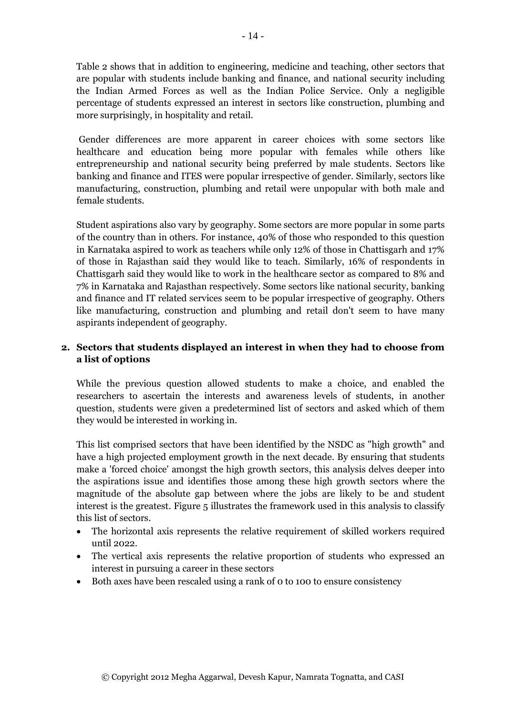Table 2 shows that in addition to engineering, medicine and teaching, other sectors that are popular with students include banking and finance, and national security including the Indian Armed Forces as well as the Indian Police Service. Only a negligible percentage of students expressed an interest in sectors like construction, plumbing and more surprisingly, in hospitality and retail.

Gender differences are more apparent in career choices with some sectors like healthcare and education being more popular with females while others like entrepreneurship and national security being preferred by male students. Sectors like banking and finance and ITES were popular irrespective of gender. Similarly, sectors like manufacturing, construction, plumbing and retail were unpopular with both male and female students.

Student aspirations also vary by geography. Some sectors are more popular in some parts of the country than in others. For instance, 40% of those who responded to this question in Karnataka aspired to work as teachers while only 12% of those in Chattisgarh and 17% of those in Rajasthan said they would like to teach. Similarly, 16% of respondents in Chattisgarh said they would like to work in the healthcare sector as compared to 8% and 7% in Karnataka and Rajasthan respectively. Some sectors like national security, banking and finance and IT related services seem to be popular irrespective of geography. Others like manufacturing, construction and plumbing and retail don't seem to have many aspirants independent of geography.

## **2. Sectors that students displayed an interest in when they had to choose from a list of options**

While the previous question allowed students to make a choice, and enabled the researchers to ascertain the interests and awareness levels of students, in another question, students were given a predetermined list of sectors and asked which of them they would be interested in working in.

This list comprised sectors that have been identified by the NSDC as "high growth" and have a high projected employment growth in the next decade. By ensuring that students make a 'forced choice' amongst the high growth sectors, this analysis delves deeper into the aspirations issue and identifies those among these high growth sectors where the magnitude of the absolute gap between where the jobs are likely to be and student interest is the greatest. Figure 5 illustrates the framework used in this analysis to classify this list of sectors.

- The horizontal axis represents the relative requirement of skilled workers required until 2022.
- The vertical axis represents the relative proportion of students who expressed an interest in pursuing a career in these sectors
- Both axes have been rescaled using a rank of 0 to 100 to ensure consistency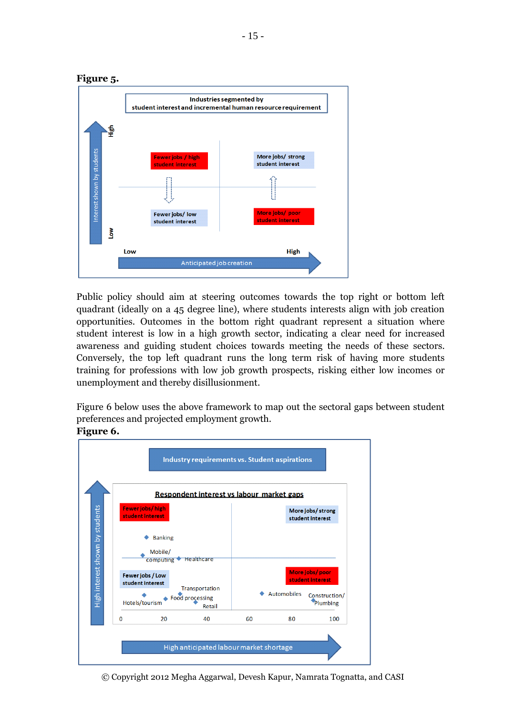

Public policy should aim at steering outcomes towards the top right or bottom left quadrant (ideally on a 45 degree line), where students interests align with job creation opportunities. Outcomes in the bottom right quadrant represent a situation where student interest is low in a high growth sector, indicating a clear need for increased awareness and guiding student choices towards meeting the needs of these sectors. Conversely, the top left quadrant runs the long term risk of having more students training for professions with low job growth prospects, risking either low incomes or unemployment and thereby disillusionment.

Figure 6 below uses the above framework to map out the sectoral gaps between student preferences and projected employment growth.

#### **Figure 6.**



© Copyright 2012 Megha Aggarwal, Devesh Kapur, Namrata Tognatta, and CASI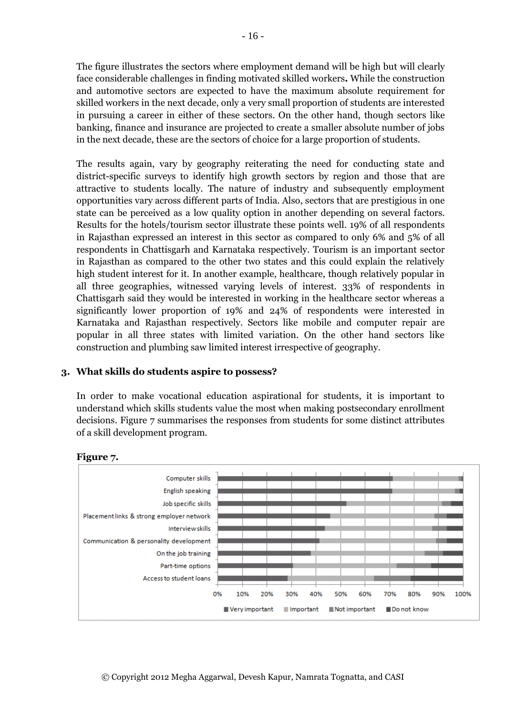The figure illustrates the sectors where employment demand will be high but will clearly face considerable challenges in finding motivated skilled workers**.** While the construction and automotive sectors are expected to have the maximum absolute requirement for skilled workers in the next decade, only a very small proportion of students are interested in pursuing a career in either of these sectors. On the other hand, though sectors like banking, finance and insurance are projected to create a smaller absolute number of jobs in the next decade, these are the sectors of choice for a large proportion of students.

The results again, vary by geography reiterating the need for conducting state and district-specific surveys to identify high growth sectors by region and those that are attractive to students locally. The nature of industry and subsequently employment opportunities vary across different parts of India. Also, sectors that are prestigious in one state can be perceived as a low quality option in another depending on several factors. Results for the hotels/tourism sector illustrate these points well. 19% of all respondents in Rajasthan expressed an interest in this sector as compared to only 6% and 5% of all respondents in Chattisgarh and Karnataka respectively. Tourism is an important sector in Rajasthan as compared to the other two states and this could explain the relatively high student interest for it. In another example, healthcare, though relatively popular in all three geographies, witnessed varying levels of interest. 33% of respondents in Chattisgarh said they would be interested in working in the healthcare sector whereas a significantly lower proportion of 19% and 24% of respondents were interested in Karnataka and Rajasthan respectively. Sectors like mobile and computer repair are popular in all three states with limited variation. On the other hand sectors like construction and plumbing saw limited interest irrespective of geography.

## **3. What skills do students aspire to possess?**

In order to make vocational education aspirational for students, it is important to understand which skills students value the most when making postsecondary enrollment decisions. Figure 7 summarises the responses from students for some distinct attributes of a skill development program.



#### **Figure 7.**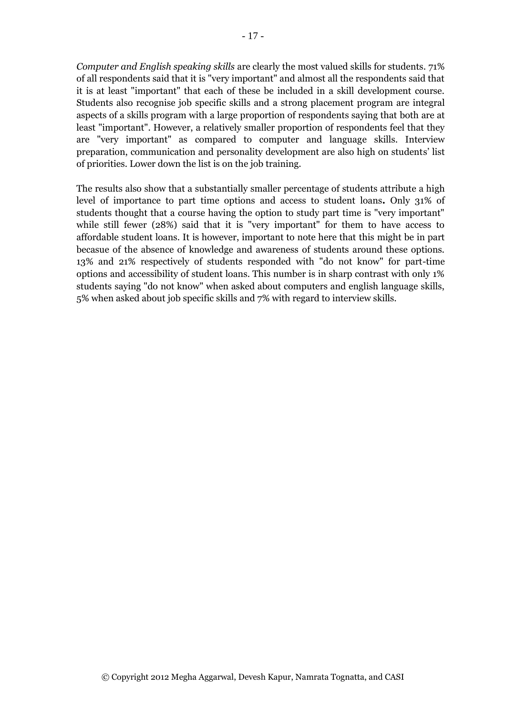*Computer and English speaking skills* are clearly the most valued skills for students. 71% of all respondents said that it is "very important" and almost all the respondents said that it is at least "important" that each of these be included in a skill development course. Students also recognise job specific skills and a strong placement program are integral aspects of a skills program with a large proportion of respondents saying that both are at least "important". However, a relatively smaller proportion of respondents feel that they are "very important" as compared to computer and language skills. Interview preparation, communication and personality development are also high on students' list of priorities. Lower down the list is on the job training.

The results also show that a substantially smaller percentage of students attribute a high level of importance to part time options and access to student loans**.** Only 31% of students thought that a course having the option to study part time is "very important" while still fewer (28%) said that it is "very important" for them to have access to affordable student loans. It is however, important to note here that this might be in part becasue of the absence of knowledge and awareness of students around these options. 13% and 21% respectively of students responded with "do not know" for part-time options and accessibility of student loans. This number is in sharp contrast with only 1% students saying "do not know" when asked about computers and english language skills, 5% when asked about job specific skills and 7% with regard to interview skills.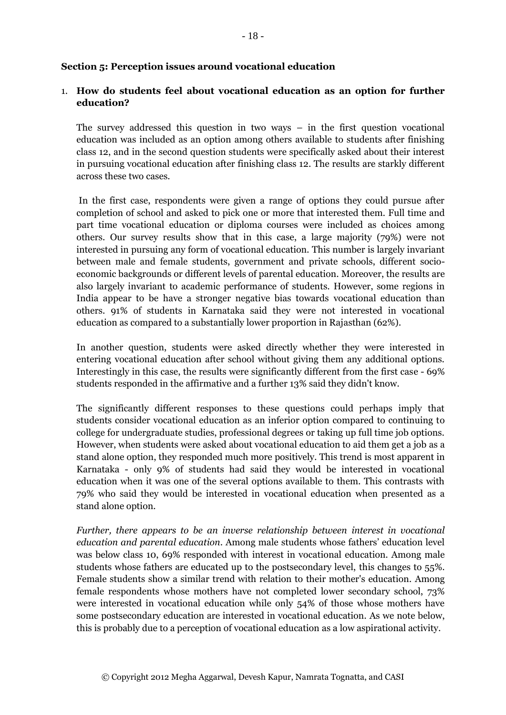#### <span id="page-17-0"></span>**Section 5: Perception issues around vocational education**

## 1. **How do students feel about vocational education as an option for further education?**

The survey addressed this question in two ways – in the first question vocational education was included as an option among others available to students after finishing class 12, and in the second question students were specifically asked about their interest in pursuing vocational education after finishing class 12. The results are starkly different across these two cases.

In the first case, respondents were given a range of options they could pursue after completion of school and asked to pick one or more that interested them. Full time and part time vocational education or diploma courses were included as choices among others. Our survey results show that in this case, a large majority (79%) were not interested in pursuing any form of vocational education. This number is largely invariant between male and female students, government and private schools, different socioeconomic backgrounds or different levels of parental education. Moreover, the results are also largely invariant to academic performance of students. However, some regions in India appear to be have a stronger negative bias towards vocational education than others. 91% of students in Karnataka said they were not interested in vocational education as compared to a substantially lower proportion in Rajasthan (62%).

In another question, students were asked directly whether they were interested in entering vocational education after school without giving them any additional options. Interestingly in this case, the results were significantly different from the first case - 69% students responded in the affirmative and a further 13% said they didn't know.

The significantly different responses to these questions could perhaps imply that students consider vocational education as an inferior option compared to continuing to college for undergraduate studies, professional degrees or taking up full time job options. However, when students were asked about vocational education to aid them get a job as a stand alone option, they responded much more positively. This trend is most apparent in Karnataka - only 9% of students had said they would be interested in vocational education when it was one of the several options available to them. This contrasts with 79% who said they would be interested in vocational education when presented as a stand alone option.

*Further, there appears to be an inverse relationship between interest in vocational education and parental education*. Among male students whose fathers' education level was below class 10, 69% responded with interest in vocational education. Among male students whose fathers are educated up to the postsecondary level, this changes to 55%. Female students show a similar trend with relation to their mother's education. Among female respondents whose mothers have not completed lower secondary school, 73% were interested in vocational education while only 54% of those whose mothers have some postsecondary education are interested in vocational education. As we note below, this is probably due to a perception of vocational education as a low aspirational activity.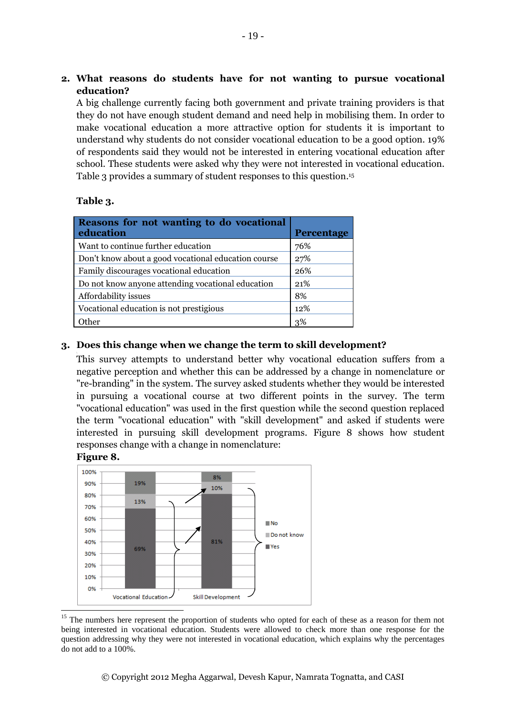## **2. What reasons do students have for not wanting to pursue vocational education?**

A big challenge currently facing both government and private training providers is that they do not have enough student demand and need help in mobilising them. In order to make vocational education a more attractive option for students it is important to understand why students do not consider vocational education to be a good option. 19% of respondents said they would not be interested in entering vocational education after school. These students were asked why they were not interested in vocational education. Table 3 provides a summary of student responses to this question. 15

## **Table 3.**

**.** 

| <b>Reasons for not wanting to do vocational</b><br>education | <b>Percentage</b> |
|--------------------------------------------------------------|-------------------|
| Want to continue further education                           | 76%               |
| Don't know about a good vocational education course          | 27%               |
| Family discourages vocational education                      | 26%               |
| Do not know anyone attending vocational education            | 21\%              |
| Affordability issues                                         | 8%                |
| Vocational education is not prestigious                      | 12%               |
| ther                                                         | 3%                |

## **3. Does this change when we change the term to skill development?**

This survey attempts to understand better why vocational education suffers from a negative perception and whether this can be addressed by a change in nomenclature or "re-branding" in the system. The survey asked students whether they would be interested in pursuing a vocational course at two different points in the survey. The term "vocational education" was used in the first question while the second question replaced the term "vocational education" with "skill development" and asked if students were interested in pursuing skill development programs. Figure 8 shows how student responses change with a change in nomenclature:



<sup>&</sup>lt;sup>15</sup> The numbers here represent the proportion of students who opted for each of these as a reason for them not being interested in vocational education. Students were allowed to check more than one response for the question addressing why they were not interested in vocational education, which explains why the percentages do not add to a 100%.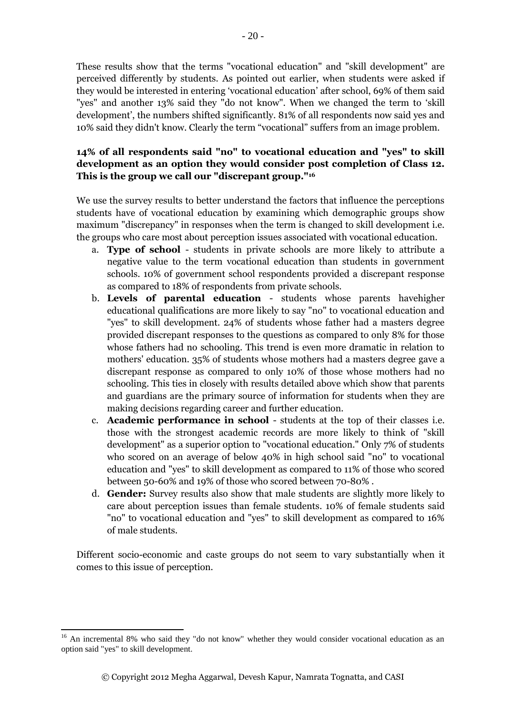These results show that the terms "vocational education" and "skill development" are perceived differently by students. As pointed out earlier, when students were asked if they would be interested in entering 'vocational education' after school, 69% of them said "yes" and another 13% said they "do not know". When we changed the term to 'skill development', the numbers shifted significantly. 81% of all respondents now said yes and 10% said they didn't know. Clearly the term "vocational" suffers from an image problem.

## **14% of all respondents said "no" to vocational education and "yes" to skill development as an option they would consider post completion of Class 12. This is the group we call our "discrepant group."<sup>16</sup>**

We use the survey results to better understand the factors that influence the perceptions students have of vocational education by examining which demographic groups show maximum "discrepancy" in responses when the term is changed to skill development i.e. the groups who care most about perception issues associated with vocational education.

- a. **Type of school** students in private schools are more likely to attribute a negative value to the term vocational education than students in government schools. 10% of government school respondents provided a discrepant response as compared to 18% of respondents from private schools.
- b. **Levels of parental education** students whose parents havehigher educational qualifications are more likely to say "no" to vocational education and "yes" to skill development. 24% of students whose father had a masters degree provided discrepant responses to the questions as compared to only 8% for those whose fathers had no schooling. This trend is even more dramatic in relation to mothers' education. 35% of students whose mothers had a masters degree gave a discrepant response as compared to only 10% of those whose mothers had no schooling. This ties in closely with results detailed above which show that parents and guardians are the primary source of information for students when they are making decisions regarding career and further education.
- c. **Academic performance in school**  students at the top of their classes i.e. those with the strongest academic records are more likely to think of "skill development" as a superior option to "vocational education." Only 7% of students who scored on an average of below 40% in high school said "no" to vocational education and "yes" to skill development as compared to 11% of those who scored between 50-60% and 19% of those who scored between 70-80% .
- d. **Gender:** Survey results also show that male students are slightly more likely to care about perception issues than female students. 10% of female students said "no" to vocational education and "yes" to skill development as compared to 16% of male students.

<span id="page-19-0"></span>Different socio-economic and caste groups do not seem to vary substantially when it comes to this issue of perception.

**<sup>.</sup>** <sup>16</sup> An incremental 8% who said they "do not know" whether they would consider vocational education as an option said "yes" to skill development.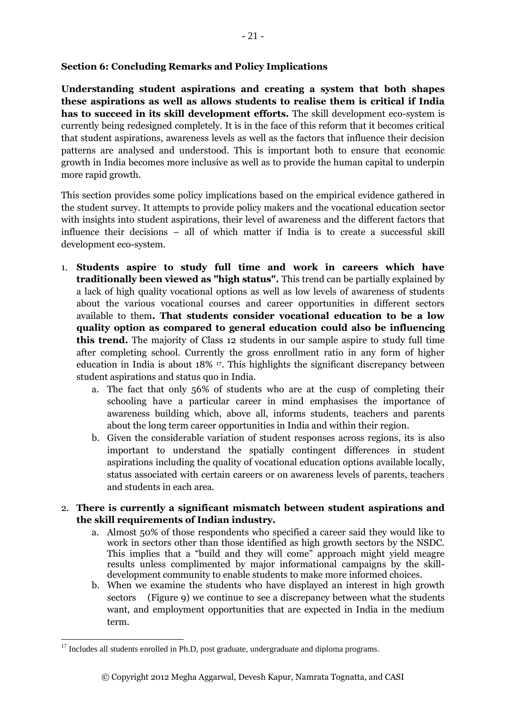## **Section 6: Concluding Remarks and Policy Implications**

**Understanding student aspirations and creating a system that both shapes these aspirations as well as allows students to realise them is critical if India has to succeed in its skill development efforts.** The skill development eco-system is currently being redesigned completely. It is in the face of this reform that it becomes critical that student aspirations, awareness levels as well as the factors that influence their decision patterns are analysed and understood. This is important both to ensure that economic growth in India becomes more inclusive as well as to provide the human capital to underpin more rapid growth.

This section provides some policy implications based on the empirical evidence gathered in the student survey. It attempts to provide policy makers and the vocational education sector with insights into student aspirations, their level of awareness and the different factors that influence their decisions – all of which matter if India is to create a successful skill development eco-system.

- 1. **Students aspire to study full time and work in careers which have traditionally been viewed as "high status".** This trend can be partially explained by a lack of high quality vocational options as well as low levels of awareness of students about the various vocational courses and career opportunities in different sectors available to them**. That students consider vocational education to be a low quality option as compared to general education could also be influencing this trend.** The majority of Class 12 students in our sample aspire to study full time after completing school. Currently the gross enrollment ratio in any form of higher education in India is about 18% 17. This highlights the significant discrepancy between student aspirations and status quo in India.
	- a. The fact that only 56% of students who are at the cusp of completing their schooling have a particular career in mind emphasises the importance of awareness building which, above all, informs students, teachers and parents about the long term career opportunities in India and within their region.
	- b. Given the considerable variation of student responses across regions, its is also important to understand the spatially contingent differences in student aspirations including the quality of vocational education options available locally, status associated with certain careers or on awareness levels of parents, teachers and students in each area.

## 2. **There is currently a significant mismatch between student aspirations and the skill requirements of Indian industry.**

- a. Almost 50% of those respondents who specified a career said they would like to work in sectors other than those identified as high growth sectors by the NSDC. This implies that a "build and they will come" approach might yield meagre results unless complimented by major informational campaigns by the skilldevelopment community to enable students to make more informed choices.
- b. When we examine the students who have displayed an interest in high growth sectors (Figure 9) we continue to see a discrepancy between what the students want, and employment opportunities that are expected in India in the medium term.

**.** 

 $17$  Includes all students enrolled in Ph.D, post graduate, undergraduate and diploma programs.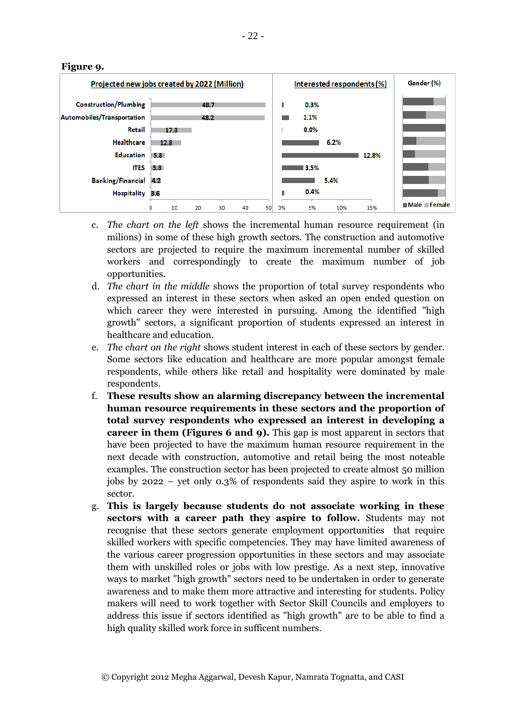

**Figure 9.**

- c. *The chart on the left* shows the incremental human resource requirement (in milions) in some of these high growth sectors. The construction and automotive sectors are projected to require the maximum incremental number of skilled workers and correspondingly to create the maximum number of job opportunities.
- d. *The chart in the middle* shows the proportion of total survey respondents who expressed an interest in these sectors when asked an open ended question on which career they were interested in pursuing. Among the identified "high growth" sectors, a significant proportion of students expressed an interest in healthcare and education.
- e. *The chart on the right* shows student interest in each of these sectors by gender. Some sectors like education and healthcare are more popular amongst female respondents, while others like retail and hospitality were dominated by male respondents.
- f. **These results show an alarming discrepancy between the incremental human resource requirements in these sectors and the proportion of total survey respondents who expressed an interest in developing a career in them (Figures 6 and 9).** This gap is most apparent in sectors that have been projected to have the maximum human resource requirement in the next decade with construction, automotive and retail being the most noteable examples. The construction sector has been projected to create almost 50 million jobs by 2022 – yet only 0.3% of respondents said they aspire to work in this sector.
- g. **This is largely because students do not associate working in these sectors with a career path they aspire to follow.** Students may not recognise that these sectors generate employment opportunities that require skilled workers with specific competencies. They may have limited awareness of the various career progression opportunities in these sectors and may associate them with unskilled roles or jobs with low prestige. As a next step, innovative ways to market "high growth" sectors need to be undertaken in order to generate awareness and to make them more attractive and interesting for students. Policy makers will need to work together with Sector Skill Councils and employers to address this issue if sectors identified as "high growth" are to be able to find a high quality skilled work force in sufficent numbers.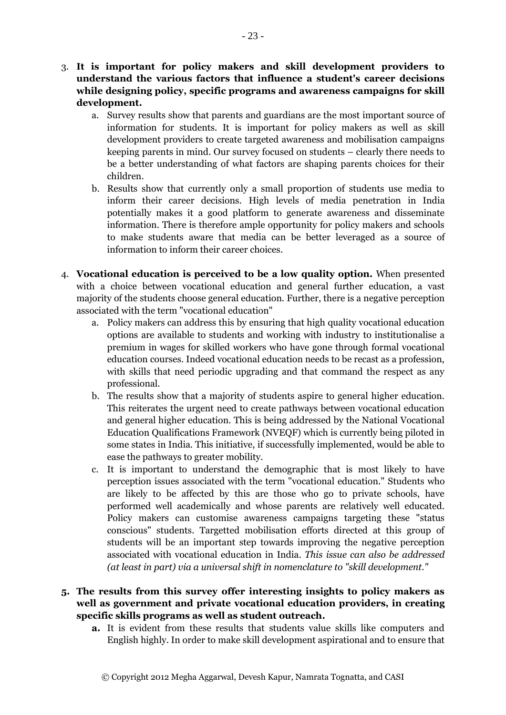- 3. **It is important for policy makers and skill development providers to understand the various factors that influence a student's career decisions while designing policy, specific programs and awareness campaigns for skill development.**
	- a. Survey results show that parents and guardians are the most important source of information for students. It is important for policy makers as well as skill development providers to create targeted awareness and mobilisation campaigns keeping parents in mind. Our survey focused on students – clearly there needs to be a better understanding of what factors are shaping parents choices for their children.
	- b. Results show that currently only a small proportion of students use media to inform their career decisions. High levels of media penetration in India potentially makes it a good platform to generate awareness and disseminate information. There is therefore ample opportunity for policy makers and schools to make students aware that media can be better leveraged as a source of information to inform their career choices.
- 4. **Vocational education is perceived to be a low quality option.** When presented with a choice between vocational education and general further education, a vast majority of the students choose general education. Further, there is a negative perception associated with the term "vocational education"
	- a. Policy makers can address this by ensuring that high quality vocational education options are available to students and working with industry to institutionalise a premium in wages for skilled workers who have gone through formal vocational education courses. Indeed vocational education needs to be recast as a profession, with skills that need periodic upgrading and that command the respect as any professional.
	- b. The results show that a majority of students aspire to general higher education. This reiterates the urgent need to create pathways between vocational education and general higher education. This is being addressed by the National Vocational Education Qualifications Framework (NVEQF) which is currently being piloted in some states in India. This initiative, if successfully implemented, would be able to ease the pathways to greater mobility.
	- c. It is important to understand the demographic that is most likely to have perception issues associated with the term "vocational education." Students who are likely to be affected by this are those who go to private schools, have performed well academically and whose parents are relatively well educated. Policy makers can customise awareness campaigns targeting these "status conscious" students. Targetted mobilisation efforts directed at this group of students will be an important step towards improving the negative perception associated with vocational education in India. *This issue can also be addressed (at least in part) via a universal shift in nomenclature to "skill development."*
- **5. The results from this survey offer interesting insights to policy makers as well as government and private vocational education providers, in creating specific skills programs as well as student outreach.** 
	- **a.** It is evident from these results that students value skills like computers and English highly. In order to make skill development aspirational and to ensure that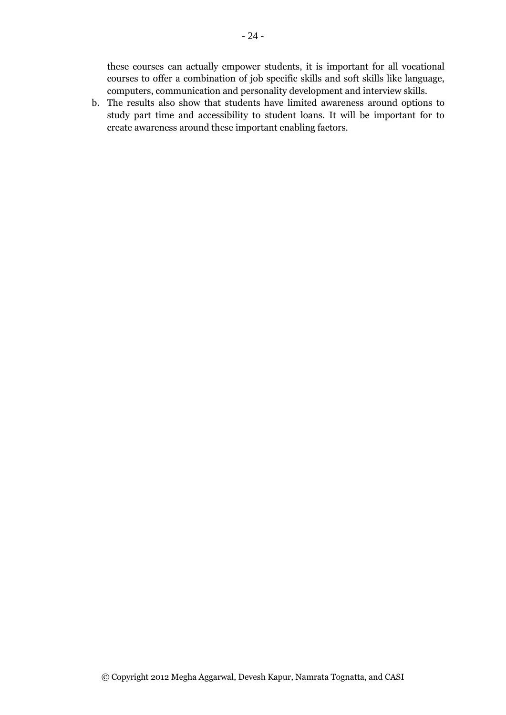these courses can actually empower students, it is important for all vocational courses to offer a combination of job specific skills and soft skills like language, computers, communication and personality development and interview skills.

b. The results also show that students have limited awareness around options to study part time and accessibility to student loans. It will be important for to create awareness around these important enabling factors.